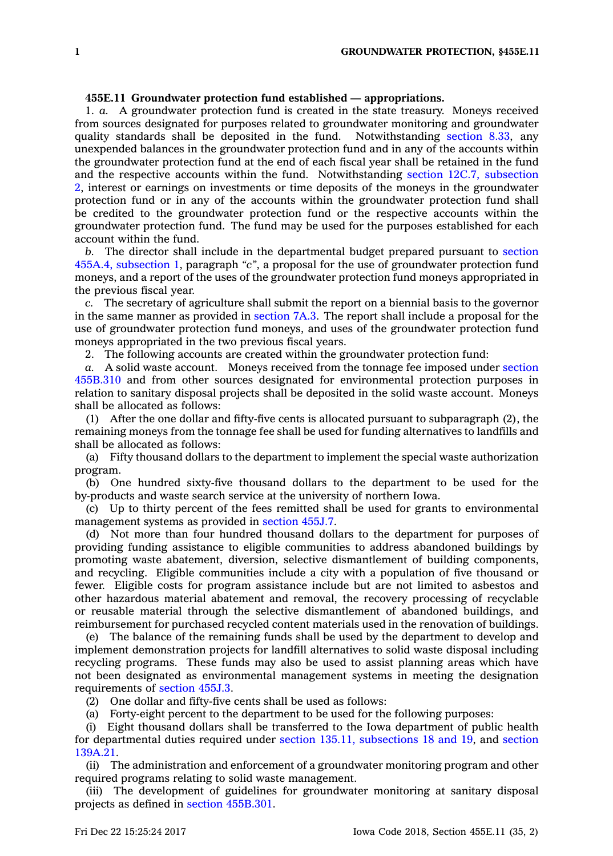## **455E.11 Groundwater protection fund established — appropriations.**

1. *a.* A groundwater protection fund is created in the state treasury. Moneys received from sources designated for purposes related to groundwater monitoring and groundwater quality standards shall be deposited in the fund. Notwithstanding [section](https://www.legis.iowa.gov/docs/code/8.33.pdf) 8.33, any unexpended balances in the groundwater protection fund and in any of the accounts within the groundwater protection fund at the end of each fiscal year shall be retained in the fund and the respective accounts within the fund. Notwithstanding section 12C.7, [subsection](https://www.legis.iowa.gov/docs/code/12C.7.pdf) [2](https://www.legis.iowa.gov/docs/code/12C.7.pdf), interest or earnings on investments or time deposits of the moneys in the groundwater protection fund or in any of the accounts within the groundwater protection fund shall be credited to the groundwater protection fund or the respective accounts within the groundwater protection fund. The fund may be used for the purposes established for each account within the fund.

*b.* The director shall include in the departmental budget prepared pursuant to [section](https://www.legis.iowa.gov/docs/code/455A.4.pdf) 455A.4, [subsection](https://www.legis.iowa.gov/docs/code/455A.4.pdf) 1, paragraph *"c"*, <sup>a</sup> proposal for the use of groundwater protection fund moneys, and <sup>a</sup> report of the uses of the groundwater protection fund moneys appropriated in the previous fiscal year.

*c.* The secretary of agriculture shall submit the report on <sup>a</sup> biennial basis to the governor in the same manner as provided in [section](https://www.legis.iowa.gov/docs/code/7A.3.pdf) 7A.3. The report shall include <sup>a</sup> proposal for the use of groundwater protection fund moneys, and uses of the groundwater protection fund moneys appropriated in the two previous fiscal years.

2. The following accounts are created within the groundwater protection fund:

*a.* A solid waste account. Moneys received from the tonnage fee imposed under [section](https://www.legis.iowa.gov/docs/code/455B.310.pdf) [455B.310](https://www.legis.iowa.gov/docs/code/455B.310.pdf) and from other sources designated for environmental protection purposes in relation to sanitary disposal projects shall be deposited in the solid waste account. Moneys shall be allocated as follows:

(1) After the one dollar and fifty-five cents is allocated pursuant to subparagraph (2), the remaining moneys from the tonnage fee shall be used for funding alternatives to landfills and shall be allocated as follows:

(a) Fifty thousand dollars to the department to implement the special waste authorization program.

(b) One hundred sixty-five thousand dollars to the department to be used for the by-products and waste search service at the university of northern Iowa.

(c) Up to thirty percent of the fees remitted shall be used for grants to environmental management systems as provided in [section](https://www.legis.iowa.gov/docs/code/455J.7.pdf) 455J.7.

(d) Not more than four hundred thousand dollars to the department for purposes of providing funding assistance to eligible communities to address abandoned buildings by promoting waste abatement, diversion, selective dismantlement of building components, and recycling. Eligible communities include <sup>a</sup> city with <sup>a</sup> population of five thousand or fewer. Eligible costs for program assistance include but are not limited to asbestos and other hazardous material abatement and removal, the recovery processing of recyclable or reusable material through the selective dismantlement of abandoned buildings, and reimbursement for purchased recycled content materials used in the renovation of buildings.

(e) The balance of the remaining funds shall be used by the department to develop and implement demonstration projects for landfill alternatives to solid waste disposal including recycling programs. These funds may also be used to assist planning areas which have not been designated as environmental management systems in meeting the designation requirements of [section](https://www.legis.iowa.gov/docs/code/455J.3.pdf) 455J.3.

(2) One dollar and fifty-five cents shall be used as follows:

(a) Forty-eight percent to the department to be used for the following purposes:

(i) Eight thousand dollars shall be transferred to the Iowa department of public health for departmental duties required under section 135.11, [subsections](https://www.legis.iowa.gov/docs/code/135.11.pdf) 18 and 19, and [section](https://www.legis.iowa.gov/docs/code/139A.21.pdf) [139A.21](https://www.legis.iowa.gov/docs/code/139A.21.pdf).

(ii) The administration and enforcement of <sup>a</sup> groundwater monitoring program and other required programs relating to solid waste management.

(iii) The development of guidelines for groundwater monitoring at sanitary disposal projects as defined in section [455B.301](https://www.legis.iowa.gov/docs/code/455B.301.pdf).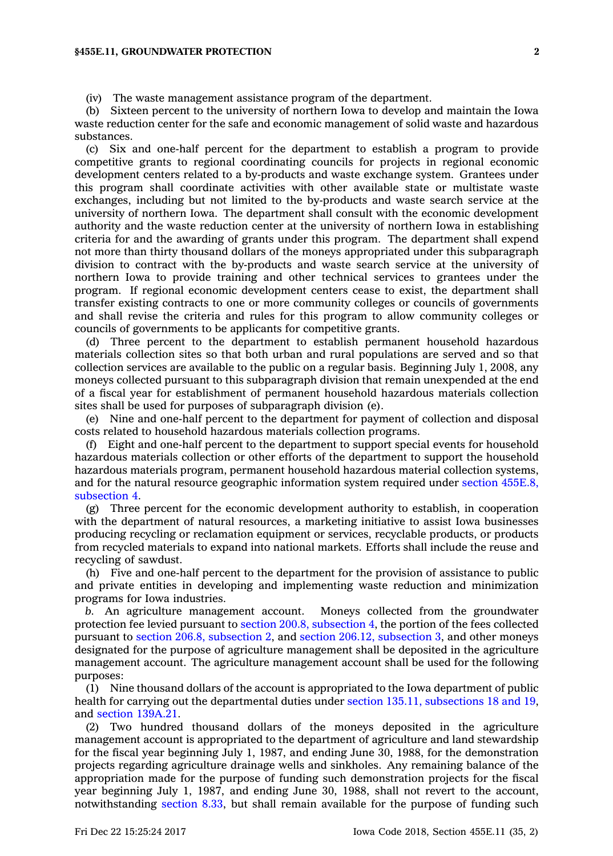## **§455E.11, GROUNDWATER PROTECTION 2**

(iv) The waste management assistance program of the department.

(b) Sixteen percent to the university of northern Iowa to develop and maintain the Iowa waste reduction center for the safe and economic management of solid waste and hazardous substances.

(c) Six and one-half percent for the department to establish <sup>a</sup> program to provide competitive grants to regional coordinating councils for projects in regional economic development centers related to <sup>a</sup> by-products and waste exchange system. Grantees under this program shall coordinate activities with other available state or multistate waste exchanges, including but not limited to the by-products and waste search service at the university of northern Iowa. The department shall consult with the economic development authority and the waste reduction center at the university of northern Iowa in establishing criteria for and the awarding of grants under this program. The department shall expend not more than thirty thousand dollars of the moneys appropriated under this subparagraph division to contract with the by-products and waste search service at the university of northern Iowa to provide training and other technical services to grantees under the program. If regional economic development centers cease to exist, the department shall transfer existing contracts to one or more community colleges or councils of governments and shall revise the criteria and rules for this program to allow community colleges or councils of governments to be applicants for competitive grants.

Three percent to the department to establish permanent household hazardous materials collection sites so that both urban and rural populations are served and so that collection services are available to the public on <sup>a</sup> regular basis. Beginning July 1, 2008, any moneys collected pursuant to this subparagraph division that remain unexpended at the end of <sup>a</sup> fiscal year for establishment of permanent household hazardous materials collection sites shall be used for purposes of subparagraph division (e).

(e) Nine and one-half percent to the department for payment of collection and disposal costs related to household hazardous materials collection programs.

(f) Eight and one-half percent to the department to support special events for household hazardous materials collection or other efforts of the department to support the household hazardous materials program, permanent household hazardous material collection systems, and for the natural resource geographic information system required under section [455E.8,](https://www.legis.iowa.gov/docs/code/455E.8.pdf) [subsection](https://www.legis.iowa.gov/docs/code/455E.8.pdf) 4.

(g) Three percent for the economic development authority to establish, in cooperation with the department of natural resources, <sup>a</sup> marketing initiative to assist Iowa businesses producing recycling or reclamation equipment or services, recyclable products, or products from recycled materials to expand into national markets. Efforts shall include the reuse and recycling of sawdust.

(h) Five and one-half percent to the department for the provision of assistance to public and private entities in developing and implementing waste reduction and minimization programs for Iowa industries.

*b.* An agriculture management account. Moneys collected from the groundwater protection fee levied pursuant to section 200.8, [subsection](https://www.legis.iowa.gov/docs/code/200.8.pdf) 4, the portion of the fees collected pursuant to section 206.8, [subsection](https://www.legis.iowa.gov/docs/code/206.8.pdf) 2, and section 206.12, [subsection](https://www.legis.iowa.gov/docs/code/206.12.pdf) 3, and other moneys designated for the purpose of agriculture management shall be deposited in the agriculture management account. The agriculture management account shall be used for the following purposes:

(1) Nine thousand dollars of the account is appropriated to the Iowa department of public health for carrying out the departmental duties under section 135.11, [subsections](https://www.legis.iowa.gov/docs/code/135.11.pdf) 18 and 19, and section [139A.21](https://www.legis.iowa.gov/docs/code/139A.21.pdf).

(2) Two hundred thousand dollars of the moneys deposited in the agriculture management account is appropriated to the department of agriculture and land stewardship for the fiscal year beginning July 1, 1987, and ending June 30, 1988, for the demonstration projects regarding agriculture drainage wells and sinkholes. Any remaining balance of the appropriation made for the purpose of funding such demonstration projects for the fiscal year beginning July 1, 1987, and ending June 30, 1988, shall not revert to the account, notwithstanding [section](https://www.legis.iowa.gov/docs/code/8.33.pdf) 8.33, but shall remain available for the purpose of funding such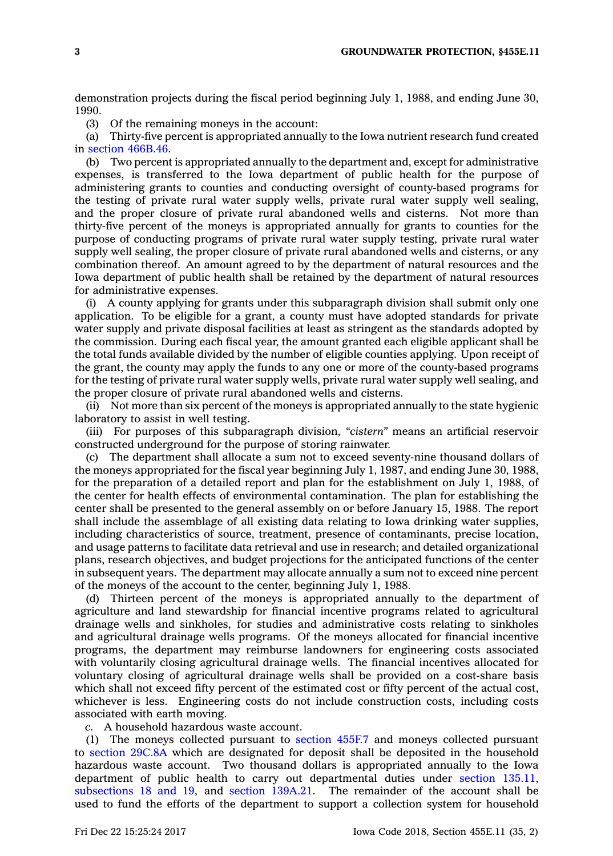demonstration projects during the fiscal period beginning July 1, 1988, and ending June 30, 1990.

(3) Of the remaining moneys in the account:

(a) Thirty-five percent is appropriated annually to the Iowa nutrient research fund created in section [466B.46](https://www.legis.iowa.gov/docs/code/466B.46.pdf).

(b) Two percent is appropriated annually to the department and, except for administrative expenses, is transferred to the Iowa department of public health for the purpose of administering grants to counties and conducting oversight of county-based programs for the testing of private rural water supply wells, private rural water supply well sealing, and the proper closure of private rural abandoned wells and cisterns. Not more than thirty-five percent of the moneys is appropriated annually for grants to counties for the purpose of conducting programs of private rural water supply testing, private rural water supply well sealing, the proper closure of private rural abandoned wells and cisterns, or any combination thereof. An amount agreed to by the department of natural resources and the Iowa department of public health shall be retained by the department of natural resources for administrative expenses.

(i) A county applying for grants under this subparagraph division shall submit only one application. To be eligible for <sup>a</sup> grant, <sup>a</sup> county must have adopted standards for private water supply and private disposal facilities at least as stringent as the standards adopted by the commission. During each fiscal year, the amount granted each eligible applicant shall be the total funds available divided by the number of eligible counties applying. Upon receipt of the grant, the county may apply the funds to any one or more of the county-based programs for the testing of private rural water supply wells, private rural water supply well sealing, and the proper closure of private rural abandoned wells and cisterns.

(ii) Not more than six percent of the moneys is appropriated annually to the state hygienic laboratory to assist in well testing.

(iii) For purposes of this subparagraph division, *"cistern"* means an artificial reservoir constructed underground for the purpose of storing rainwater.

(c) The department shall allocate <sup>a</sup> sum not to exceed seventy-nine thousand dollars of the moneys appropriated for the fiscal year beginning July 1, 1987, and ending June 30, 1988, for the preparation of <sup>a</sup> detailed report and plan for the establishment on July 1, 1988, of the center for health effects of environmental contamination. The plan for establishing the center shall be presented to the general assembly on or before January 15, 1988. The report shall include the assemblage of all existing data relating to Iowa drinking water supplies, including characteristics of source, treatment, presence of contaminants, precise location, and usage patterns to facilitate data retrieval and use in research; and detailed organizational plans, research objectives, and budget projections for the anticipated functions of the center in subsequent years. The department may allocate annually <sup>a</sup> sum not to exceed nine percent of the moneys of the account to the center, beginning July 1, 1988.

(d) Thirteen percent of the moneys is appropriated annually to the department of agriculture and land stewardship for financial incentive programs related to agricultural drainage wells and sinkholes, for studies and administrative costs relating to sinkholes and agricultural drainage wells programs. Of the moneys allocated for financial incentive programs, the department may reimburse landowners for engineering costs associated with voluntarily closing agricultural drainage wells. The financial incentives allocated for voluntary closing of agricultural drainage wells shall be provided on <sup>a</sup> cost-share basis which shall not exceed fifty percent of the estimated cost or fifty percent of the actual cost, whichever is less. Engineering costs do not include construction costs, including costs associated with earth moving.

*c.* A household hazardous waste account.

(1) The moneys collected pursuant to [section](https://www.legis.iowa.gov/docs/code/455F.7.pdf) 455F.7 and moneys collected pursuant to section [29C.8A](https://www.legis.iowa.gov/docs/code/29C.8A.pdf) which are designated for deposit shall be deposited in the household hazardous waste account. Two thousand dollars is appropriated annually to the Iowa department of public health to carry out departmental duties under section [135.11,](https://www.legis.iowa.gov/docs/code/135.11.pdf) [subsections](https://www.legis.iowa.gov/docs/code/135.11.pdf) 18 and 19, and section [139A.21](https://www.legis.iowa.gov/docs/code/139A.21.pdf). The remainder of the account shall be used to fund the efforts of the department to support <sup>a</sup> collection system for household